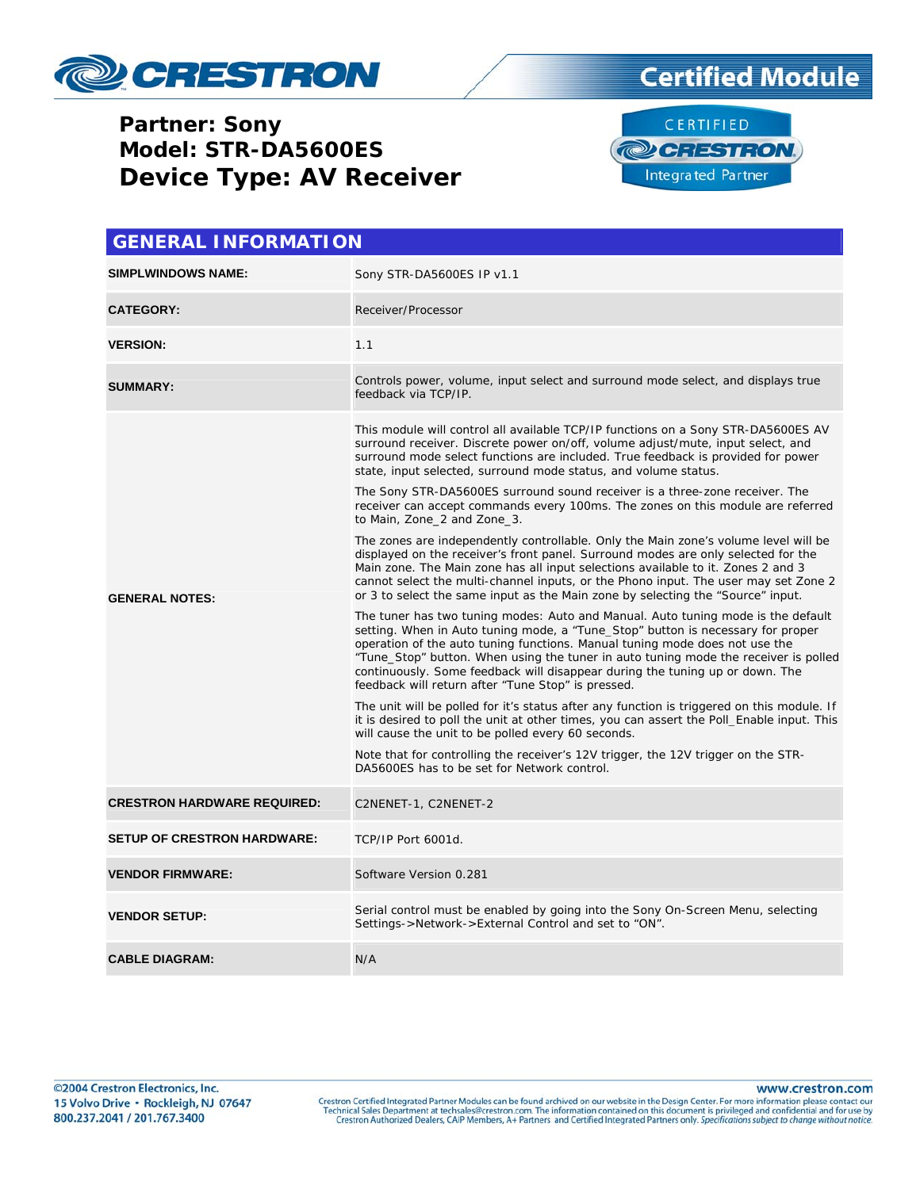

#### **Partner: Sony Model: STR-DA5600ES Device Type: AV Receiver**





| <b>GENERAL INFORMATION</b>         |                                                                                                                                                                                                                                                                                                                                                                                                                                                                                 |  |  |
|------------------------------------|---------------------------------------------------------------------------------------------------------------------------------------------------------------------------------------------------------------------------------------------------------------------------------------------------------------------------------------------------------------------------------------------------------------------------------------------------------------------------------|--|--|
| <b>SIMPLWINDOWS NAME:</b>          | Sony STR-DA5600ES IP v1.1                                                                                                                                                                                                                                                                                                                                                                                                                                                       |  |  |
| <b>CATEGORY:</b>                   | Receiver/Processor                                                                                                                                                                                                                                                                                                                                                                                                                                                              |  |  |
| <b>VERSION:</b>                    | 1.1                                                                                                                                                                                                                                                                                                                                                                                                                                                                             |  |  |
| <b>SUMMARY:</b>                    | Controls power, volume, input select and surround mode select, and displays true<br>feedback via TCP/IP.                                                                                                                                                                                                                                                                                                                                                                        |  |  |
| <b>GENERAL NOTES:</b>              | This module will control all available TCP/IP functions on a Sony STR-DA5600ES AV<br>surround receiver. Discrete power on/off, volume adjust/mute, input select, and<br>surround mode select functions are included. True feedback is provided for power<br>state, input selected, surround mode status, and volume status.                                                                                                                                                     |  |  |
|                                    | The Sony STR-DA5600ES surround sound receiver is a three-zone receiver. The<br>receiver can accept commands every 100ms. The zones on this module are referred<br>to Main, Zone_2 and Zone_3.                                                                                                                                                                                                                                                                                   |  |  |
|                                    | The zones are independently controllable. Only the Main zone's volume level will be<br>displayed on the receiver's front panel. Surround modes are only selected for the<br>Main zone. The Main zone has all input selections available to it. Zones 2 and 3<br>cannot select the multi-channel inputs, or the Phono input. The user may set Zone 2<br>or 3 to select the same input as the Main zone by selecting the "Source" input.                                          |  |  |
|                                    | The tuner has two tuning modes: Auto and Manual. Auto tuning mode is the default<br>setting. When in Auto tuning mode, a "Tune_Stop" button is necessary for proper<br>operation of the auto tuning functions. Manual tuning mode does not use the<br>"Tune_Stop" button. When using the tuner in auto tuning mode the receiver is polled<br>continuously. Some feedback will disappear during the tuning up or down. The<br>feedback will return after "Tune Stop" is pressed. |  |  |
|                                    | The unit will be polled for it's status after any function is triggered on this module. If<br>it is desired to poll the unit at other times, you can assert the Poll Enable input. This<br>will cause the unit to be polled every 60 seconds.                                                                                                                                                                                                                                   |  |  |
|                                    | Note that for controlling the receiver's 12V trigger, the 12V trigger on the STR-<br>DA5600ES has to be set for Network control.                                                                                                                                                                                                                                                                                                                                                |  |  |
| <b>CRESTRON HARDWARE REQUIRED:</b> | C2NENET-1, C2NENET-2                                                                                                                                                                                                                                                                                                                                                                                                                                                            |  |  |
| <b>SETUP OF CRESTRON HARDWARE:</b> | TCP/IP Port 6001d.                                                                                                                                                                                                                                                                                                                                                                                                                                                              |  |  |
| <b>VENDOR FIRMWARE:</b>            | Software Version 0.281                                                                                                                                                                                                                                                                                                                                                                                                                                                          |  |  |
| <b>VENDOR SETUP:</b>               | Serial control must be enabled by going into the Sony On-Screen Menu, selecting<br>Settings->Network->External Control and set to "ON".                                                                                                                                                                                                                                                                                                                                         |  |  |
| <b>CABLE DIAGRAM:</b>              | N/A                                                                                                                                                                                                                                                                                                                                                                                                                                                                             |  |  |

www.crestron.com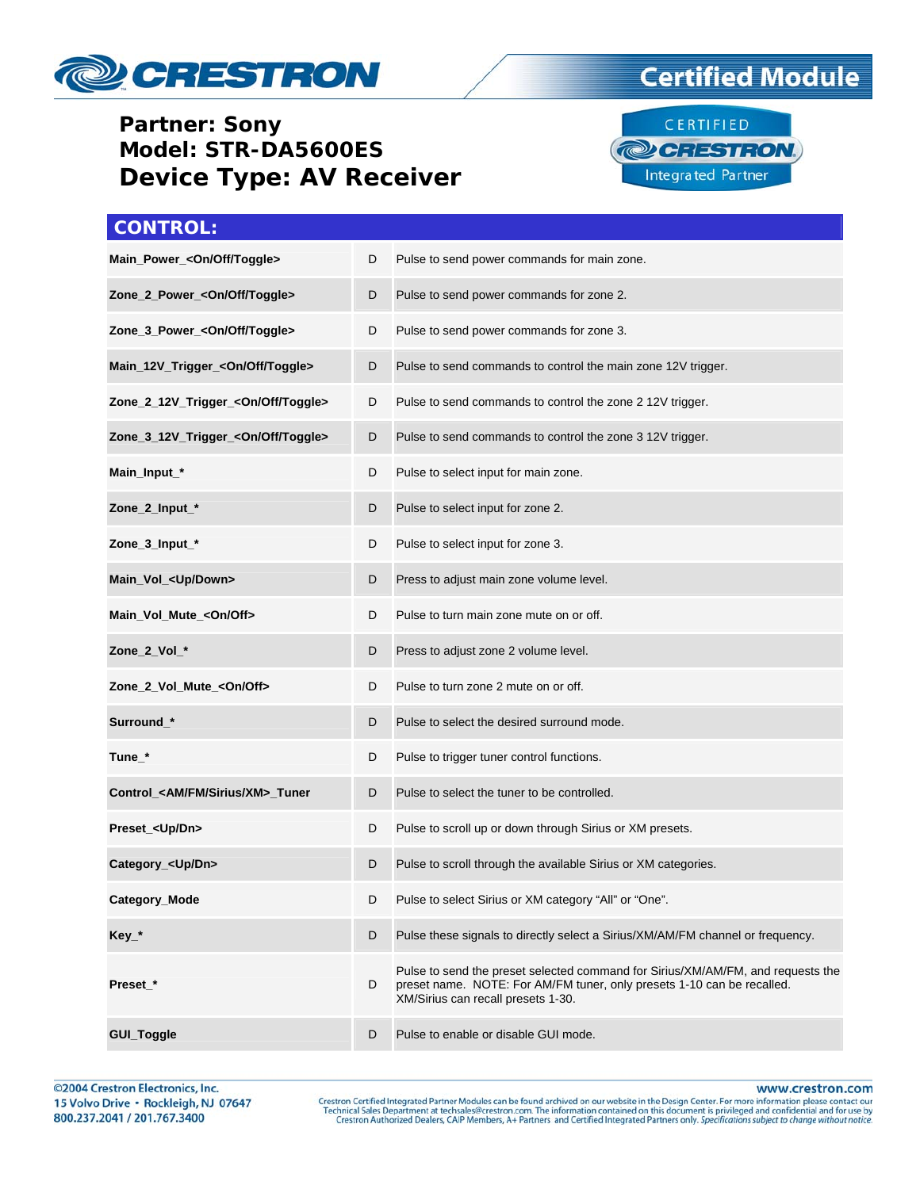

#### **Partner: Sony** Model: STR-DA5600ES **Device Type: AV Receiver**

### **Certified Module**



| <b>CONTROL:</b>                                |   |                                                                                                                                                                                                 |
|------------------------------------------------|---|-------------------------------------------------------------------------------------------------------------------------------------------------------------------------------------------------|
| Main_Power_ <on off="" toggle=""></on>         | D | Pulse to send power commands for main zone.                                                                                                                                                     |
| Zone_2_Power_ <on off="" toggle=""></on>       | D | Pulse to send power commands for zone 2.                                                                                                                                                        |
| Zone_3_Power_ <on off="" toggle=""></on>       | D | Pulse to send power commands for zone 3.                                                                                                                                                        |
| Main_12V_Trigger_ <on off="" toggle=""></on>   | D | Pulse to send commands to control the main zone 12V trigger.                                                                                                                                    |
| Zone_2_12V_Trigger_ <on off="" toggle=""></on> | D | Pulse to send commands to control the zone 2 12V trigger.                                                                                                                                       |
| Zone_3_12V_Trigger_ <on off="" toggle=""></on> | D | Pulse to send commands to control the zone 3 12V trigger.                                                                                                                                       |
| Main_Input_*                                   | D | Pulse to select input for main zone.                                                                                                                                                            |
| Zone_2_Input_*                                 | D | Pulse to select input for zone 2.                                                                                                                                                               |
| Zone_3_Input_*                                 | D | Pulse to select input for zone 3.                                                                                                                                                               |
| Main_Vol_ <up down=""></up>                    | D | Press to adjust main zone volume level.                                                                                                                                                         |
| Main_Vol_Mute_ <on off=""></on>                | D | Pulse to turn main zone mute on or off.                                                                                                                                                         |
| Zone_2_Vol_*                                   | D | Press to adjust zone 2 volume level.                                                                                                                                                            |
| Zone_2_Vol_Mute_ <on off=""></on>              | D | Pulse to turn zone 2 mute on or off.                                                                                                                                                            |
| Surround_*                                     | D | Pulse to select the desired surround mode.                                                                                                                                                      |
| Tune_*                                         | D | Pulse to trigger tuner control functions.                                                                                                                                                       |
| Control_ <am fm="" sirius="" xm="">_Tuner</am> | D | Pulse to select the tuner to be controlled.                                                                                                                                                     |
| Preset_ <up dn=""></up>                        | D | Pulse to scroll up or down through Sirius or XM presets.                                                                                                                                        |
| Category_ <up dn=""></up>                      | D | Pulse to scroll through the available Sirius or XM categories.                                                                                                                                  |
| Category_Mode                                  | D | Pulse to select Sirius or XM category "All" or "One".                                                                                                                                           |
| Key_*                                          | D | Pulse these signals to directly select a Sirius/XM/AM/FM channel or frequency.                                                                                                                  |
| Preset_*                                       | D | Pulse to send the preset selected command for Sirius/XM/AM/FM, and requests the<br>preset name. NOTE: For AM/FM tuner, only presets 1-10 can be recalled.<br>XM/Sirius can recall presets 1-30. |
| GUI_Toggle                                     | D | Pulse to enable or disable GUI mode.                                                                                                                                                            |

©2004 Crestron Electronics, Inc. 15 Volvo Drive · Rockleigh, NJ 07647 800.237.2041 / 201.767.3400

www.crestron.com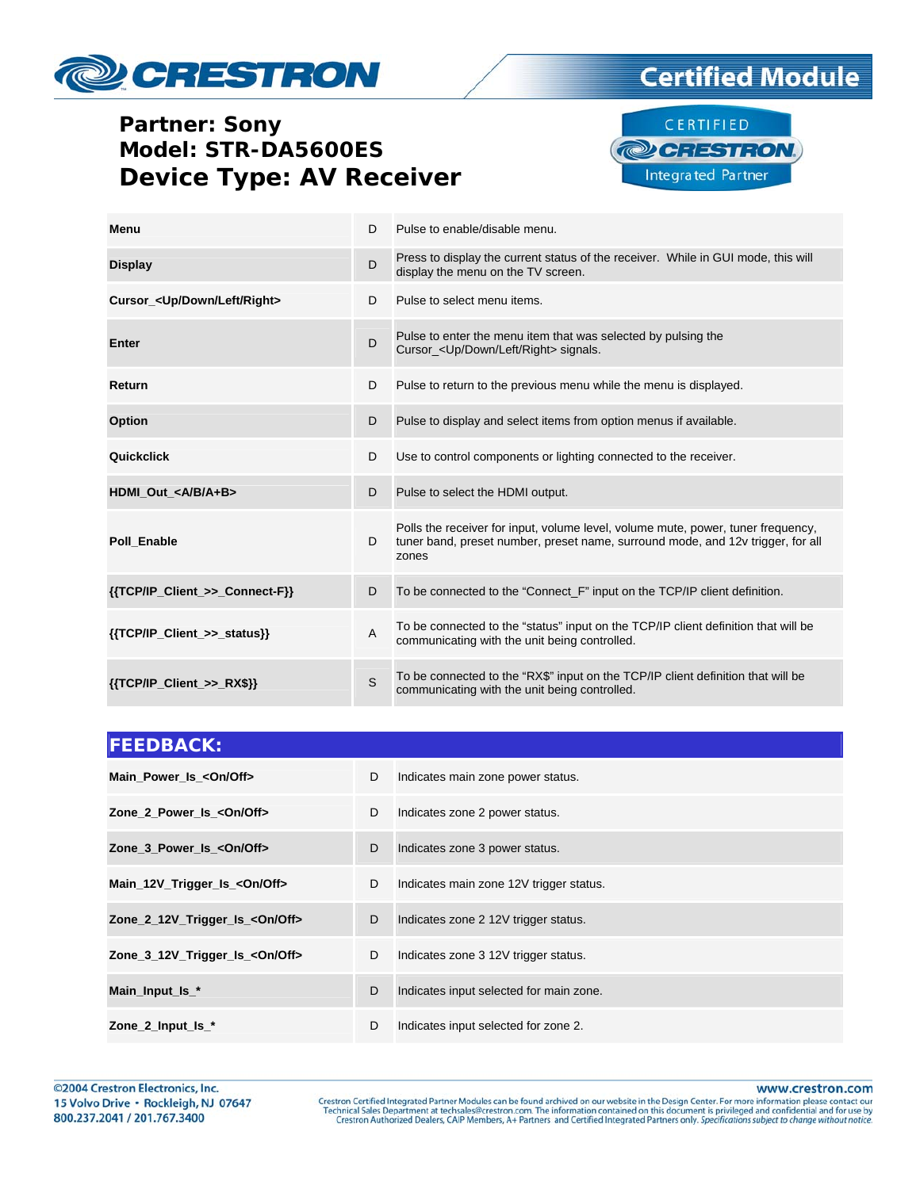# CRESTRON

#### **Partner: Sony** Model: STR-DA5600ES **Device Type: AV Receiver**



**Certified Module** 

| Menu                                       | D              | Pulse to enable/disable menu.                                                                                                                                                |
|--------------------------------------------|----------------|------------------------------------------------------------------------------------------------------------------------------------------------------------------------------|
| <b>Display</b>                             | D              | Press to display the current status of the receiver. While in GUI mode, this will<br>display the menu on the TV screen.                                                      |
| Cursor_ <up down="" left="" right=""></up> | D              | Pulse to select menu items.                                                                                                                                                  |
| <b>Enter</b>                               | D              | Pulse to enter the menu item that was selected by pulsing the<br>Cursor <up down="" left="" right=""> signals.</up>                                                          |
| Return                                     | D              | Pulse to return to the previous menu while the menu is displayed.                                                                                                            |
| Option                                     | D              | Pulse to display and select items from option menus if available.                                                                                                            |
| Quickclick                                 | D              | Use to control components or lighting connected to the receiver.                                                                                                             |
| HDMI Out <a a+b="" b=""></a>               | D              | Pulse to select the HDMI output.                                                                                                                                             |
| Poll Enable                                | D              | Polls the receiver for input, volume level, volume mute, power, tuner frequency,<br>tuner band, preset number, preset name, surround mode, and 12v trigger, for all<br>zones |
| {{TCP/IP Client >> Connect-F}}             | D              | To be connected to the "Connect F" input on the TCP/IP client definition.                                                                                                    |
| {{TCP/IP_Client_>>_status}}                | $\overline{A}$ | To be connected to the "status" input on the TCP/IP client definition that will be<br>communicating with the unit being controlled.                                          |
| $\{ \text{TCP/IP Client} >> RX$ \}$        | S              | To be connected to the "RX\$" input on the TCP/IP client definition that will be<br>communicating with the unit being controlled.                                            |

| <b>FEEDBACK:</b>                        |   |                                         |
|-----------------------------------------|---|-----------------------------------------|
| Main Power Is < On/Off>                 | D | Indicates main zone power status.       |
| Zone 2 Power Is <0n/0ff>                | D | Indicates zone 2 power status.          |
| Zone 3_Power_Is_ <on off=""></on>       | D | Indicates zone 3 power status.          |
| Main_12V_Trigger_Is_ <on off=""></on>   | D | Indicates main zone 12V trigger status. |
| Zone 2_12V_Trigger_Is_<0n/0ff>          | D | Indicates zone 2 12V trigger status.    |
| Zone_3_12V_Trigger_Is_ <on off=""></on> | D | Indicates zone 3 12V trigger status.    |
| Main_Input_Is_*                         | D | Indicates input selected for main zone. |
| Zone $2$ Input Is $*$                   | D | Indicates input selected for zone 2.    |

www.crestron.com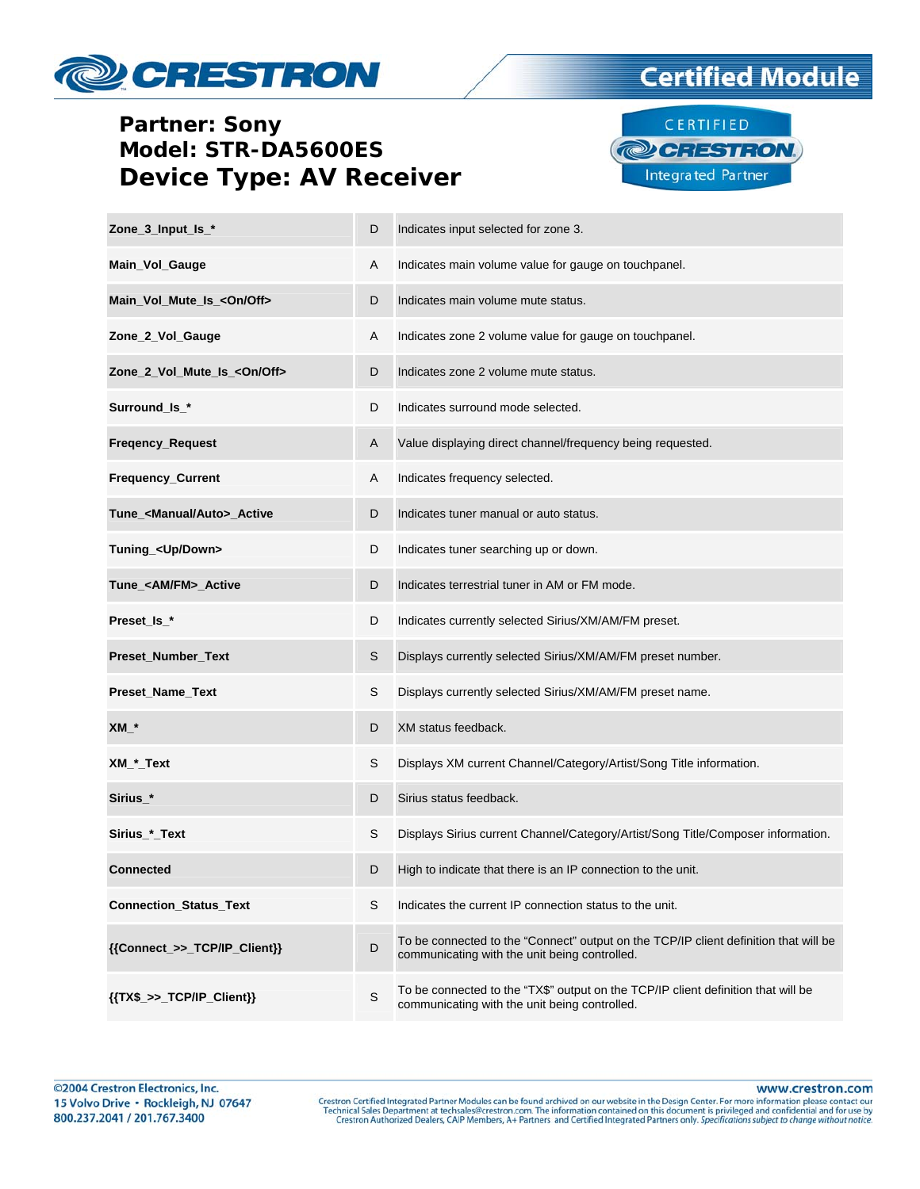## **CRESTRON**

#### **Partner: Sony** Model: STR-DA5600ES **Device Type: AV Receiver**



**Certified Module** 

| Zone_3_Input_Is_*                      | D           | Indicates input selected for zone 3.                                                                                                  |
|----------------------------------------|-------------|---------------------------------------------------------------------------------------------------------------------------------------|
| Main_Vol_Gauge                         | A           | Indicates main volume value for gauge on touchpanel.                                                                                  |
| Main_Vol_Mute_Is_ <on off=""></on>     | D           | Indicates main volume mute status.                                                                                                    |
| Zone_2_Vol_Gauge                       | Α           | Indicates zone 2 volume value for gauge on touchpanel.                                                                                |
| Zone_2_Vol_Mute_Is_ <on off=""></on>   | D           | Indicates zone 2 volume mute status.                                                                                                  |
| Surround_ls_*                          | D           | Indicates surround mode selected.                                                                                                     |
| Freqency_Request                       | A           | Value displaying direct channel/frequency being requested.                                                                            |
| Frequency_Current                      | A           | Indicates frequency selected.                                                                                                         |
| Tune_ <manual auto="">_Active</manual> | D           | Indicates tuner manual or auto status.                                                                                                |
| Tuning_ <up down=""></up>              | D           | Indicates tuner searching up or down.                                                                                                 |
| Tune_ <am fm="">_Active</am>           | D           | Indicates terrestrial tuner in AM or FM mode.                                                                                         |
| Preset_ls_*                            | D           | Indicates currently selected Sirius/XM/AM/FM preset.                                                                                  |
| Preset_Number_Text                     | S           | Displays currently selected Sirius/XM/AM/FM preset number.                                                                            |
| Preset_Name_Text                       | S           | Displays currently selected Sirius/XM/AM/FM preset name.                                                                              |
| $XM^*$                                 | D           | XM status feedback.                                                                                                                   |
| $XM$ $^*$ Text                         | S           | Displays XM current Channel/Category/Artist/Song Title information.                                                                   |
| Sirius_*                               | D           | Sirius status feedback.                                                                                                               |
| Sirius_*_Text                          | S           | Displays Sirius current Channel/Category/Artist/Song Title/Composer information.                                                      |
| <b>Connected</b>                       | D           | High to indicate that there is an IP connection to the unit.                                                                          |
| <b>Connection_Status_Text</b>          | S           | Indicates the current IP connection status to the unit.                                                                               |
| {{Connect_>>_TCP/IP_Client}}           | D           | To be connected to the "Connect" output on the TCP/IP client definition that will be<br>communicating with the unit being controlled. |
| ${TX$_{->}>_{T}TCP/IP_{Client}}$       | $\mathsf S$ | To be connected to the "TX\$" output on the TCP/IP client definition that will be<br>communicating with the unit being controlled.    |

www.crestron.com